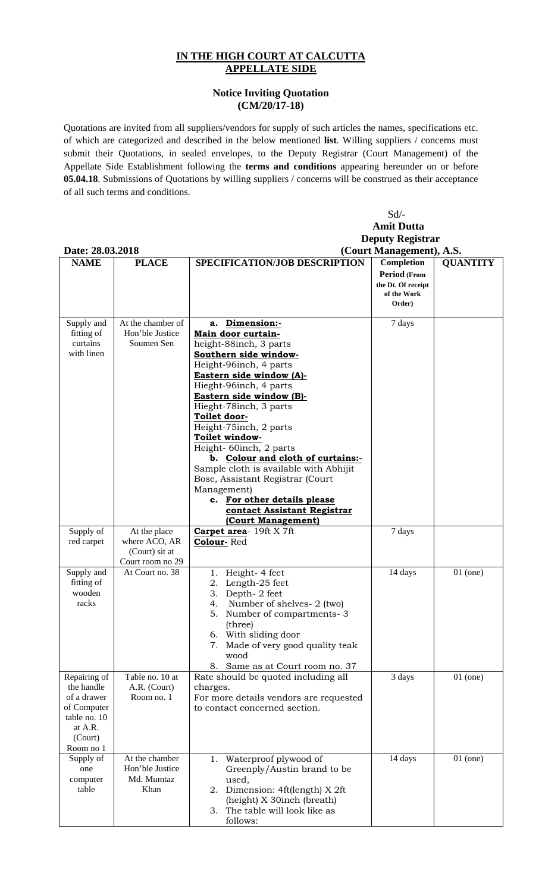## **IN THE HIGH COURT AT CALCUTTA APPELLATE SIDE**

## **Notice Inviting Quotation (CM/20/17-18)**

Quotations are invited from all suppliers/vendors for supply of such articles the names, specifications etc. of which are categorized and described in the below mentioned **list**. Willing suppliers / concerns must submit their Quotations, in sealed envelopes, to the Deputy Registrar (Court Management) of the Appellate Side Establishment following the **terms and conditions** appearing hereunder on or before **05.04.18**. Submissions of Quotations by willing suppliers / concerns will be construed as their acceptance of all such terms and conditions.

|                                                                                                             |                                                                     | Sd/-                                                                                                                                                                                                                                                                                                                                                                                                                                                                                                                                      |                                                                           |                 |  |  |
|-------------------------------------------------------------------------------------------------------------|---------------------------------------------------------------------|-------------------------------------------------------------------------------------------------------------------------------------------------------------------------------------------------------------------------------------------------------------------------------------------------------------------------------------------------------------------------------------------------------------------------------------------------------------------------------------------------------------------------------------------|---------------------------------------------------------------------------|-----------------|--|--|
|                                                                                                             | <b>Amit Dutta</b>                                                   |                                                                                                                                                                                                                                                                                                                                                                                                                                                                                                                                           |                                                                           |                 |  |  |
|                                                                                                             |                                                                     | <b>Deputy Registrar</b>                                                                                                                                                                                                                                                                                                                                                                                                                                                                                                                   |                                                                           |                 |  |  |
| Date: 28.03.2018<br>(Court Management), A.S.                                                                |                                                                     |                                                                                                                                                                                                                                                                                                                                                                                                                                                                                                                                           |                                                                           |                 |  |  |
| <b>NAME</b>                                                                                                 | <b>PLACE</b>                                                        | SPECIFICATION/JOB DESCRIPTION                                                                                                                                                                                                                                                                                                                                                                                                                                                                                                             | Completion<br>Period (From<br>the Dt. Of receipt<br>of the Work<br>Order) | <b>QUANTITY</b> |  |  |
| Supply and<br>fitting of<br>curtains<br>with linen                                                          | At the chamber of<br>Hon'ble Justice<br>Soumen Sen                  | a. Dimension:-<br>Main door curtain-<br>height-88inch, 3 parts<br>Southern side window-<br>Height-96inch, 4 parts<br>Eastern side window (A)-<br>Hieght-96inch, 4 parts<br>Eastern side window (B)-<br>Hieght-78inch, 3 parts<br>Toilet door-<br>Height-75inch, 2 parts<br>Toilet window-<br>Height-60inch, 2 parts<br>b. Colour and cloth of curtains:-<br>Sample cloth is available with Abhijit<br>Bose, Assistant Registrar (Court<br>Management)<br>c. For other details please<br>contact Assistant Registrar<br>(Court Management) | 7 days                                                                    |                 |  |  |
| Supply of<br>red carpet                                                                                     | At the place<br>where ACO, AR<br>(Court) sit at<br>Court room no 29 | <b>Carpet area- 19ft X7ft</b><br>Colour-Red                                                                                                                                                                                                                                                                                                                                                                                                                                                                                               | 7 days                                                                    |                 |  |  |
| Supply and<br>fitting of<br>wooden<br>racks                                                                 | At Court no. 38                                                     | 1. Height-4 feet<br>Length-25 feet<br>2.<br>Depth-2 feet<br>3.<br>4.<br>Number of shelves- 2 (two)<br>5. Number of compartments-3<br>(three)<br>6. With sliding door<br>7. Made of very good quality teak<br>wood<br>Same as at Court room no. 37<br>8.                                                                                                                                                                                                                                                                                   | 14 days                                                                   | $01$ (one)      |  |  |
| Repairing of<br>the handle<br>of a drawer<br>of Computer<br>table no. 10<br>at A.R.<br>(Court)<br>Room no 1 | Table no. 10 at<br>A.R. (Court)<br>Room no. 1                       | Rate should be quoted including all<br>charges.<br>For more details vendors are requested<br>to contact concerned section.                                                                                                                                                                                                                                                                                                                                                                                                                | 3 days                                                                    | $01$ (one)      |  |  |
| Supply of<br>one<br>computer<br>table                                                                       | At the chamber<br>Hon'ble Justice<br>Md. Mumtaz<br>Khan             | Waterproof plywood of<br>1.<br>Greenply/Austin brand to be<br>used,<br>2. Dimension: 4ft(length) X 2ft<br>(height) X 30inch (breath)<br>The table will look like as<br>3.<br>follows:                                                                                                                                                                                                                                                                                                                                                     | 14 days                                                                   | $01$ (one)      |  |  |